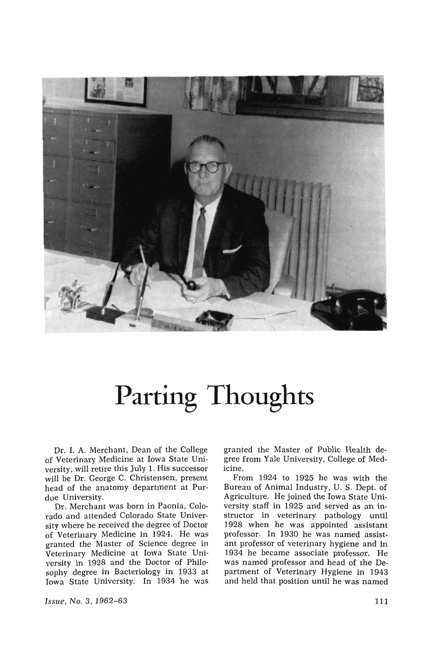

## **Parting Thoughts**

Dr. I. A. Merchant, Dean of the College of Veterinary Medicine at Iowa State University, will retire this July 1. His successor will be Dr. George C. Christensen, present head of the anatomy department at Purdue University.

Dr. Merchant was born in Paonia, Colorado and attended Colorado State University where he received the degree of Doctor of Veterinary Medicine in 1924. He was granted the Master of Science degree in Veterinary Medicine at Iowa State University in 1928 and the Doctor of Philosophy degree in Bacteriology in 1933 at Iowa State University. In 1934 he was

*Issue, No.3, 1962-63* 

granted the Master of Public Health degree from Yale University, College of Medicine.

From 1924 to 1925 he was with the Bureau of Animal Industry, U. S. Dept. of Agriculture. He joined the Iowa State University staff in 1925 and served as an instructor in veterinary pathology until 1928 when he was appointed assistant professor. In 1930 he was named assistant professor of veterinary hygiene and in 1934 he became associate professor. He was named professor and head of the Department of Veterinary Hygiene in 1943 and held that position until he was named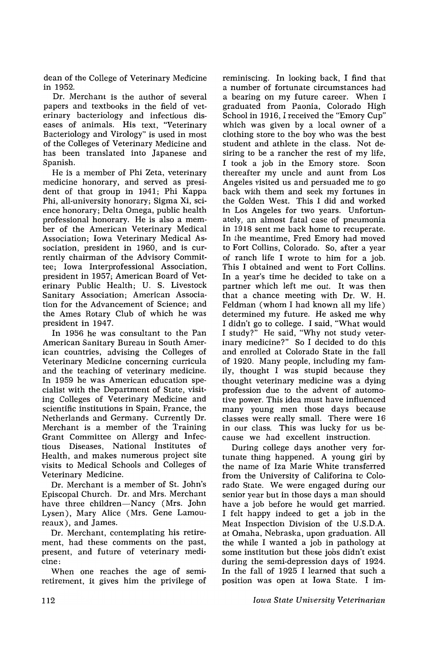dean of the College of Veterinary Medicine in 1952.

Dr. Merchant is the author of several papers and textbooks in the field of veterinary bacteriology and infectious diseases of animals. His text, "Veterinary Bacteriology and Virology" is used in most of the Colleges of Veterinary Medicine and has been translated into Japanese and Spanish.

He is a member of Phi Zeta, veterinary medicine honorary, and served as president of that group in 1941; Phi Kappa Phi, all-university honorary; Sigma Xi, science honorary; Delta Omega, public health professional honorary. He is also a member of the American Veterinary Medical Association; Iowa Veterinary Medical Association, president in 1960, and is currently chairman of the Advisory Committee; Iowa Interprofessional Association, president in 1957; American Board of Veterinary Public Health; U. S. Livestock Sanitary Association; American Association for the Advancement of Science; and the Ames Rotary Club of which he was president in 1947.

In 1956 he was consultant to the Pan American Sanitary Bureau in South American countries, advising the Colleges of Veterinary Medicine concerning curricula and the teaching of veterinary medicine. In 1959 he was American education specialist with the Department of State, visiting Colleges of Veterinary Medicine and scientific institutions in Spain, France, the Netherlands and Germany. Currently Dr. Merchant is a member of the Training Grant Committee on Allergy and Infectious Diseases, National Institutes of Health, and makes numerous project site visits to Medical Schools and Colleges of Veterinary Medicine.

Dr. Merchant is a member of St. John's Episcopal Church. Dr. and Mrs. Merchant have three children-Nancy (Mrs. John Lysen), Mary Alice (Mrs. Gene Lamoureaux), and James.

Dr. Merchant, contemplating his retirement, had these comments on the past, present, and future of veterinary medicine:

When one reaches the age of semiretirement, it gives him the privilege of reminiscing. In looking back, I find that a number of fortunate circumstances had a bearing on my future career. When I graduated from Paonia, Colorado High School in 1916, I received the "Emory Cup" which was given by a local owner of a clothing store to the boy who was the best student and athlete in the class. Not desiring to be a rancher the rest of my life, I took a job in the Emory store. Soon thereafter my uncle and aunt from Los Angeles visited us and persuaded me to go back with them and seek my fortunes in the Golden West. This I did and worked in Los Angeles for two years. Unfortunately, an almost fatal case of pneumonia in 1918 sent me back home to recuperate. In the meantime, Fred Emory had moved to Fort Collins, Colorado. So, after a year of ranch life I wrote to him for a job. This I obtained and went to Fort Collins. In a year's time he decided to take on a partner which left me out. It was then that a chance meeting with Dr. W. H. Feldman (whom I had known all my life) determined my future. He asked me why I didn't go to college. I said, "What would I study?" He said, "Why not study veterinary medicine?" So I decided to do this and enrolled at Colorado State in the fall of 1920. Many people, including my family, thought I was stupid because they thought veterinary medicine was a dying profession due to the advent of automotive power. This idea must have influenced many young men those days because classes were really small. There were 16 in our class. This was lucky for us because we had excellent instruction.

During college days another very fortunate thing happened. A young girl by the name of Iza Marie White transferred from the University of Califorina to Colorado State. We were engaged during our senior year but in those days a man should have a job before he would get married. I felt happy indeed to get a job in the Meat Inspection Division of the U.S.D.A. at Omaha, Nebraska, upon graduation. All the while I wanted a job in pathology at some institution but these jobs didn't exist during the semi-depression days of 1924. In the fall of 1925 I learned that such a position was open at Iowa State. I im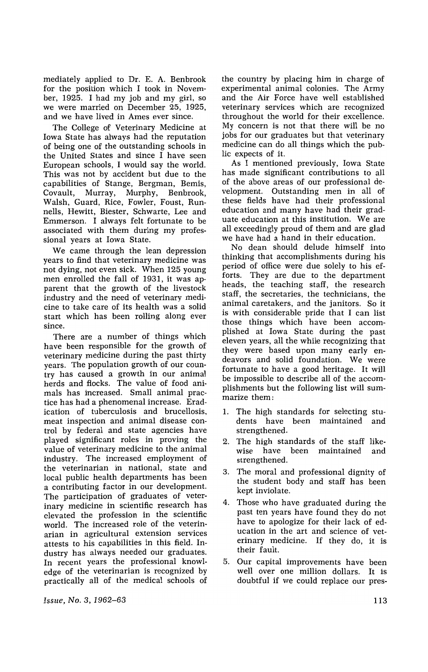mediately applied to Dr. E. A. Benbrook for the position which I took in November, 1925. I had my job and my girl, so we were married on December 25, 1925, and we have lived in Ames ever since.

The College of Veterinary Medicine at Iowa State has always had the reputation of being one of the outstanding schools in the United States and since I have seen European schools, I would say the world. This was not by accident but due to the capabilities of Stange, Bergman, Bemis, Covault, Murray, Murphy, Benbrook, Walsh, Guard, Rice, Fowler, Foust, Runnells, Hewitt, Biester, Schwarte, Lee and Emmerson. I always felt fortunate to be associated with them during my professional years at Iowa State.

We came through the lean depression years to find that veterinary medicine was not dying, not even sick. When 125 young men enrolled the fall of 1931, it was apparent that the growth of the livestock industry and the need of veterinary medicine to take care of its health was a solid start which has been rolling along ever since.

There are a number of things which have been responsible for the growth of veterinary medicine during the past thirty years. The population growth of our country has caused a growth in our animal herds and flocks. The value of food animals has increased. Small animal practice has had a phenomenal increase. Eradication of tuberculosis and brucellosis, meat inspection and animal disease control by federal and state agencies have played significant roles in proving the value of veterinary medicine to the animal industry. The increased employment of the veterinarian in national, state and local public health departments has been a contributing factor in our development. The participation of graduates of veterinary medicine in scientific research has elevated the profession in the scientific world. The increased role of the veterinarian in agricultural extension services attests to his capabilities in this field. Industry has always needed our graduates. In recent years the professional knowledge of the veterinarian is recognized by practically all of the medical schools of

the country by placing him in charge of experimental animal colonies. The Army and the Air Force have well established veterinary services which are recognized throughout the world for their excellence. My concern is not that there will be no jobs for our graduates but that veterinary medicine can do all things which the public expects of it.

As I mentioned previously, Iowa State has made significant contributions to all of the above areas of our professional development. Outstanding men in all of these fields have had their professional education and many have had their graduate education at this institution. We are all exceedingly proud of them and are glad we have had a hand in their education.

No dean should delude himself into thinking that accomplishments during his period of office were due solely to his efforts. They are due to the department heads, the teaching staff, the research staff, the secretaries, the technicians, the animal caretakers, and the janitors. So it is with considerable pride that I can list those things which have been accomplished at Iowa State during the past eleven years, all the while recognizing that they were based upon many early endeavors and solid foundation. We were fortunate to have a good heritage. It will be impossible to describe all of the accomplishments but the following list will summarize them:

- 1. The high standards for selecting students have been maintained and strengthened.
- 2. The high standards of the staff likewise have been maintained and strengthened.
- 3. The moral and professional dignity of the student body and staff has been kept inviolate.
- 4. Those who have graduated during the past ten years have found they do not have to apologize for their lack of education in the art and science of veterinary medicine. If they do, it is their fault.
- 5. Our capital improvements have been well over one million dollars. It is doubtful if we could replace our pres-

*Issue,* No.3, 1962-63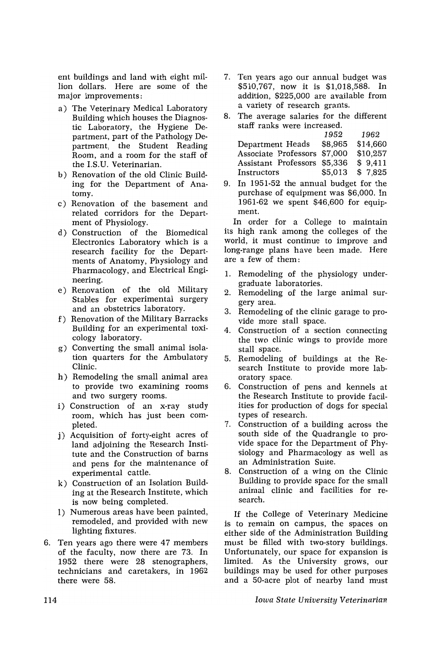ent buildings and land with eight million dollars. Here are some of the major improvements:

- a) The Veterinary Medical Laboratory Building which houses the Diagnostic Laboratory, the Hygiene Department, part of the Pathology Department, the Student Reading Room, and a room for the staff of the IS.U. Veterinarian.
- b) Renovation of the old Clinic Building for the Department of Anatomy.
- c) Renovation of the basement and related corridors for the Department of Physiology.
- d) Construction of the Biomedical Electronics Laboratory which is a research facility for the Departments of Anatomy, Physiology and Pharmacology, and Electrical Engineering.
- e) Renovation of the old Military Stables for experimental surgery and an obstetrics laboratory.
- f) Renovation of the Military Barracks Building for an experimental toxicology laboratory.
- g) Converting the small animal isolation quarters for the Ambulatory Clinic.
- h) Remodeling the small animal area to provide two examining rooms and two surgery rooms.
- i) Construction of an x-ray study room, which has just been completed.
- j) Acquisition of forty-eight acres of land adjoining the Research Institute and the Construction of barns and pens for the maintenance of experimental cattle.
- k) Construction of an Isolation Building at the Research Institute, which is now being completed.
- 1) Numerous areas have been painted, remodeled, and provided with new lighting fixtures.
- 6. Ten years ago there were 47 members of the faculty, now there are 73. In 1952 there were 28 stenographers, technicians and caretakers, in 1962 there were 58.
- 7. Ten years ago our annual budget was \$510,767, now it is \$1,018,588. In addition, \$225,000 are available from a variety of research grants.
- 8. The average salaries for the different staff ranks were increased.

|                              | 1952    | 1962     |
|------------------------------|---------|----------|
| Department Heads             | \$8,965 | \$14,660 |
| Associate Professors \$7,000 |         | \$10,257 |
| Assistant Professors \$5,336 |         | \$9.411  |
| Instructors                  | \$5,013 | \$7,825  |

9. In 1951-52 the annual budget for the purchase of equipment was \$6,000. In 1961-62 we spent \$46,600 for equipment.

In order for a College to maintain its high rank among the colleges of the world, it must continue to improve and long-range plans have been made. Here are a few of them:

- 1. Remodeling of the physiology undergraduate laboratories.
- 2. Remodeling of the large animal surgery area.
- 3. Remodeling of the clinic garage to provide more stall space.
- 4. Construction of a section connecting the two clinic wings to provide more stall space.
- 5. Remodeling of buildings at the Research Institute to provide more laboratory space.
- 6. Construction of pens and kennels at the Research Institute to provide facilities for production of dogs for special types of research.
- 7. Construction of a building across the south side of the Quadrangle to provide space for the Department of Physiology and Pharmacology as well as an Administration Suite.
- 8. Construction of a wing on the Clinic Building to provide space for the small animal clinic and facilities for research.

If the College of Veterinary Medicine is to remain on campus, the spaces on either side of the Administration Building must be filled with two-story buildings. Unfortunately, our space for expansion is limited. As the University grows, our buildings may be used for other purposes and a 50-acre plot of nearby land must

*Iowa State University Veterinarian*